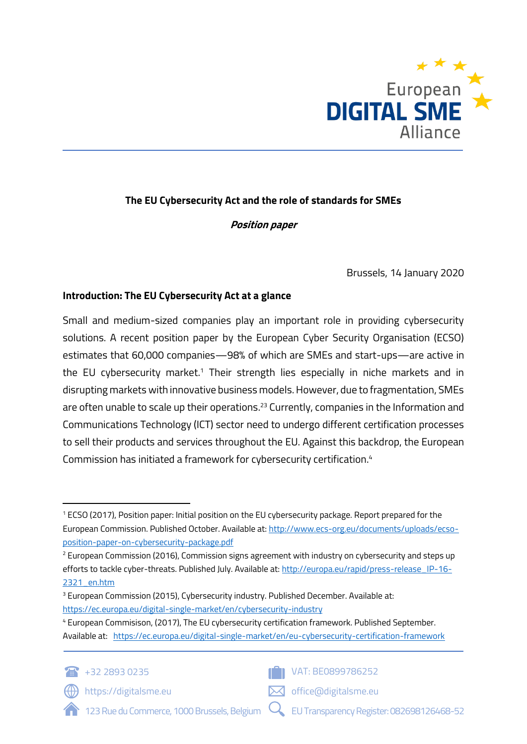

# **The EU Cybersecurity Act and the role of standards for SMEs**

## **Position paper**

Brussels, 14 January 2020

## **Introduction: The EU Cybersecurity Act at a glance**

Small and medium-sized companies play an important role in providing cybersecurity solutions. A recent position paper by the European Cyber Security Organisation (ECSO) estimates that 60,000 companies—98% of which are SMEs and start-ups—are active in the EU cybersecurity market.<sup>1</sup> Their strength lies especially in niche markets and in disrupting markets with innovative business models. However, due to fragmentation, SMEs are often unable to scale up their operations. <sup>23</sup> Currently, companies in the Information and Communications Technology (ICT) sector need to undergo different certification processes to sell their products and services throughout the EU. Against this backdrop, the European Commission has initiated a framework for cybersecurity certification. 4

<sup>4</sup> European Commisison, (2017), The EU cybersecurity certification framework. Published September. Available at: <https://ec.europa.eu/digital-single-market/en/eu-cybersecurity-certification-framework>



**IF I** VAT: BE0899786252

https://digitalsme.eu



123 Rue du Commerce, 1000 Brussels, Belgium

EU Transparency Register: 082698126468-52

<sup>1</sup> ECSO (2017), Position paper: Initial position on the EU cybersecurity package. Report prepared for the European Commission. Published October. Available at: [http://www.ecs-org.eu/documents/uploads/ecso](http://www.ecs-org.eu/documents/uploads/ecso-position-paper-on-cybersecurity-package.pdf)[position-paper-on-cybersecurity-package.pdf](http://www.ecs-org.eu/documents/uploads/ecso-position-paper-on-cybersecurity-package.pdf)

<sup>&</sup>lt;sup>2</sup> European Commission (2016), Commission signs agreement with industry on cybersecurity and steps up efforts to tackle cyber-threats. Published July. Available at[: http://europa.eu/rapid/press-release\\_IP-16-](http://europa.eu/rapid/press-release_IP-16-2321_en.htm) [2321\\_en.htm](http://europa.eu/rapid/press-release_IP-16-2321_en.htm)

<sup>&</sup>lt;sup>3</sup> European Commission (2015), Cybersecurity industry. Published December. Available at: <https://ec.europa.eu/digital-single-market/en/cybersecurity-industry>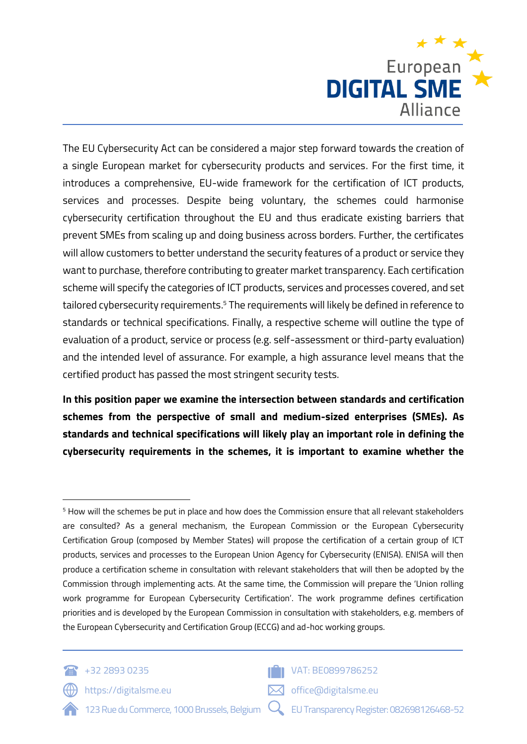

The EU Cybersecurity Act can be considered a major step forward towards the creation of a single European market for cybersecurity products and services. For the first time, it introduces a comprehensive, EU-wide framework for the certification of ICT products, services and processes. Despite being voluntary, the schemes could harmonise cybersecurity certification throughout the EU and thus eradicate existing barriers that prevent SMEs from scaling up and doing business across borders. Further, the certificates will allow customers to better understand the security features of a product or service they want to purchase, therefore contributing to greater market transparency. Each certification scheme will specify the categories of ICT products, services and processes covered, and set tailored cybersecurity requirements.<sup>5</sup> The requirements will likely be defined in reference to standards or technical specifications. Finally, a respective scheme will outline the type of evaluation of a product, service or process (e.g. self-assessment or third-party evaluation) and the intended level of assurance. For example, a high assurance level means that the certified product has passed the most stringent security tests.

**In this position paper we examine the intersection between standards and certification schemes from the perspective of small and medium-sized enterprises (SMEs). As standards and technical specifications will likely play an important role in defining the cybersecurity requirements in the schemes, it is important to examine whether the** 

<sup>5</sup> How will the schemes be put in place and how does the Commission ensure that all relevant stakeholders are consulted? As a general mechanism, the European Commission or the European Cybersecurity Certification Group (composed by Member States) will propose the certification of a certain group of ICT products, services and processes to the European Union Agency for Cybersecurity (ENISA). ENISA will then produce a certification scheme in consultation with relevant stakeholders that will then be adopted by the Commission through implementing acts. At the same time, the Commission will prepare the 'Union rolling work programme for European Cybersecurity Certification'. The work programme defines certification priorities and is developed by the European Commission in consultation with stakeholders, e.g. members of the European Cybersecurity and Certification Group (ECCG) and ad-hoc working groups.



 $\langle \langle \rangle \rangle$  https://digitalsme.eu



office@digitalsme.eu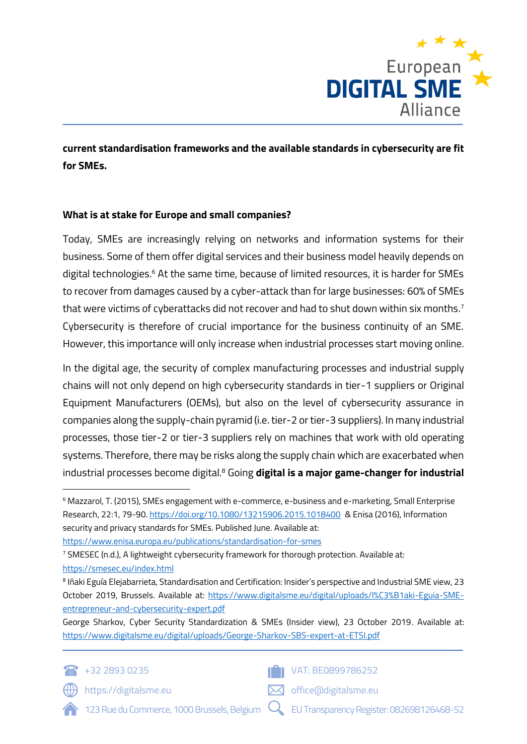

**current standardisation frameworks and the available standards in cybersecurity are fit for SMEs.** 

## **What is at stake for Europe and small companies?**

Today, SMEs are increasingly relying on networks and information systems for their business. Some of them offer digital services and their business model heavily depends on digital technologies. <sup>6</sup> At the same time, because of limited resources, it is harder for SMEs to recover from damages caused by a cyber-attack than for large businesses: 60% of SMEs that were victims of cyberattacks did not recover and had to shut down within six months. $^{\textrm{\tiny{7}}}$ Cybersecurity is therefore of crucial importance for the business continuity of an SME. However, this importance will only increase when industrial processes start moving online.

In the digital age, the security of complex manufacturing processes and industrial supply chains will not only depend on high cybersecurity standards in tier-1 suppliers or Original Equipment Manufacturers (OEMs), but also on the level of cybersecurity assurance in companies along the supply-chain pyramid (i.e. tier-2 or tier-3 suppliers). In many industrial processes, those tier-2 or tier-3 suppliers rely on machines that work with old operating systems. Therefore, there may be risks along the supply chain which are exacerbated when industrial processes become digital.<sup>8</sup> Going **digital is a major game-changer for industrial** 

George Sharkov, Cyber Security Standardization & SMEs (Insider view), 23 October 2019. Available at: <https://www.digitalsme.eu/digital/uploads/George-Sharkov-SBS-expert-at-ETSI.pdf>



https://digitalsme.eu



office@digitalsme.eu



<sup>6</sup> Mazzarol, T. (2015), SMEs engagement with e-commerce, e-business and e-marketing, Small Enterprise Research, 22:1, 79-90.<https://doi.org/10.1080/13215906.2015.1018400>& Enisa (2016), Information security and privacy standards for SMEs. Published June. Available at:

<https://www.enisa.europa.eu/publications/standardisation-for-smes>

<sup>7</sup> SMESEC (n.d.), A lightweight cybersecurity framework for thorough protection. Available at: <https://smesec.eu/index.html>

<sup>8</sup> Iñaki Eguía Elejabarrieta, Standardisation and Certification: Insider's perspective and Industrial SME view, 23 October 2019, Brussels. Available at: [https://www.digitalsme.eu/digital/uploads/I%C3%B1aki-Eguia-SME](https://www.digitalsme.eu/digital/uploads/I%C3%B1aki-Eguia-SME-entrepreneur-and-cybersecurity-expert.pdf)[entrepreneur-and-cybersecurity-expert.pdf](https://www.digitalsme.eu/digital/uploads/I%C3%B1aki-Eguia-SME-entrepreneur-and-cybersecurity-expert.pdf)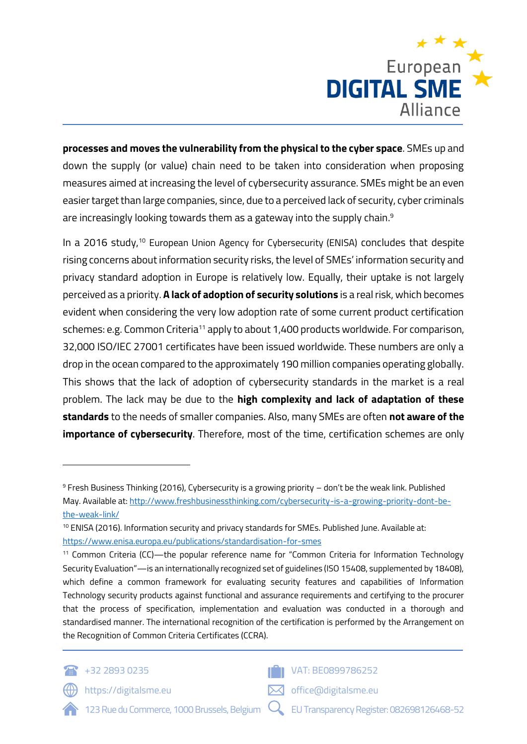

**processes and moves the vulnerability from the physical to the cyber space**. SMEs up and down the supply (or value) chain need to be taken into consideration when proposing measures aimed at increasing the level of cybersecurity assurance. SMEs might be an even easier target than large companies, since, due to a perceived lack of security, cyber criminals are increasingly looking towards them as a gateway into the supply chain. $^{\rm 9}$ 

In a 2016 study, <sup>10</sup> European Union Agency for Cybersecurity (ENISA) concludes that despite rising concerns about information security risks, the level of SMEs' information security and privacy standard adoption in Europe is relatively low. Equally, their uptake is not largely perceived as a priority. **A lack of adoption of security solutions** is a real risk, which becomes evident when considering the very low adoption rate of some current product certification schemes: e.g. Common Criteria<sup>11</sup> apply to about 1,400 products worldwide. For comparison, 32,000 ISO/IEC 27001 certificates have been issued worldwide. These numbers are only a drop in the ocean compared to the approximately 190 million companies operating globally. This shows that the lack of adoption of cybersecurity standards in the market is a real problem. The lack may be due to the **high complexity and lack of adaptation of these standards** to the needs of smaller companies. Also, many SMEs are often **not aware of the importance of cybersecurity**. Therefore, most of the time, certification schemes are only

<sup>11</sup> Common Criteria (CC)—the popular reference name for "Common Criteria for Information Technology Security Evaluation"—is an internationally recognized set of guidelines (ISO 15408, supplemented by 18408), which define a common framework for evaluating security features and capabilities of Information Technology security products against functional and assurance requirements and certifying to the procurer that the process of specification, implementation and evaluation was conducted in a thorough and standardised manner. The international recognition of the certification is performed by the Arrangement on the Recognition of Common Criteria Certificates (CCRA).





office@digitalsme.eu

https://digitalsme.eu



<sup>9</sup> Fresh Business Thinking (2016), Cybersecurity is a growing priority – don't be the weak link. Published May. Available at[: http://www.freshbusinessthinking.com/cybersecurity-is-a-growing-priority-dont-be](http://www.freshbusinessthinking.com/cybersecurity-is-a-growing-priority-dont-be-the-weak-link/)[the-weak-link/](http://www.freshbusinessthinking.com/cybersecurity-is-a-growing-priority-dont-be-the-weak-link/)

<sup>10</sup> ENISA (2016). Information security and privacy standards for SMEs. Published June. Available at: <https://www.enisa.europa.eu/publications/standardisation-for-smes>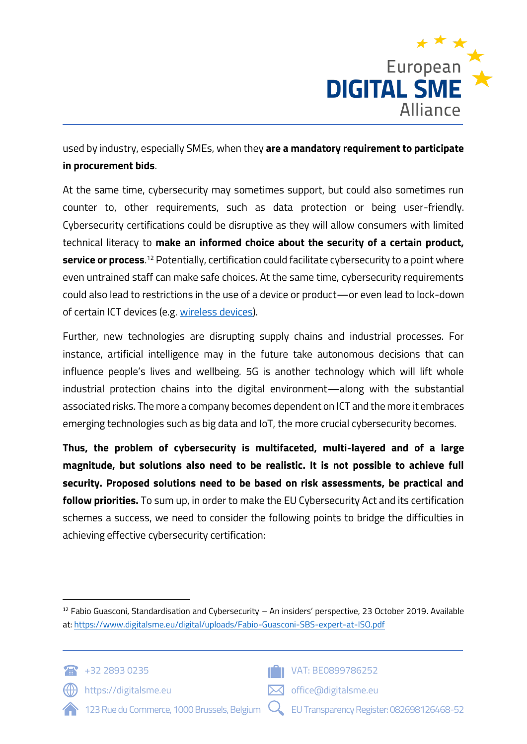

used by industry, especially SMEs, when they **are a mandatory requirement to participate in procurement bids**.

At the same time, cybersecurity may sometimes support, but could also sometimes run counter to, other requirements, such as data protection or being user-friendly. Cybersecurity certifications could be disruptive as they will allow consumers with limited technical literacy to **make an informed choice about the security of a certain product, service or process**. <sup>12</sup> Potentially, certification could facilitate cybersecurity to a point where even untrained staff can make safe choices. At the same time, cybersecurity requirements could also lead to restrictions in the use of a device or product—or even lead to lock-down of certain ICT devices (e.g. [wireless devices\)](https://www.digitalsme.eu/digital/uploads/RED-Position_DIGITAL-SME.pdf).

Further, new technologies are disrupting supply chains and industrial processes. For instance, artificial intelligence may in the future take autonomous decisions that can influence people's lives and wellbeing. 5G is another technology which will lift whole industrial protection chains into the digital environment—along with the substantial associated risks. The more a company becomes dependent on ICT and the more it embraces emerging technologies such as big data and IoT, the more crucial cybersecurity becomes.

**Thus, the problem of cybersecurity is multifaceted, multi-layered and of a large magnitude, but solutions also need to be realistic. It is not possible to achieve full security. Proposed solutions need to be based on risk assessments, be practical and follow priorities.** To sum up, in order to make the EU Cybersecurity Act and its certification schemes a success, we need to consider the following points to bridge the difficulties in achieving effective cybersecurity certification:

 $12$  Fabio Guasconi, Standardisation and Cybersecurity – An insiders' perspective, 23 October 2019. Available at:<https://www.digitalsme.eu/digital/uploads/Fabio-Guasconi-SBS-expert-at-ISO.pdf>





**T** VAT: BE0899786252

https://digitalsme.eu



- office@digitalsme.eu
	- EU Transparency Register: 082698126468-52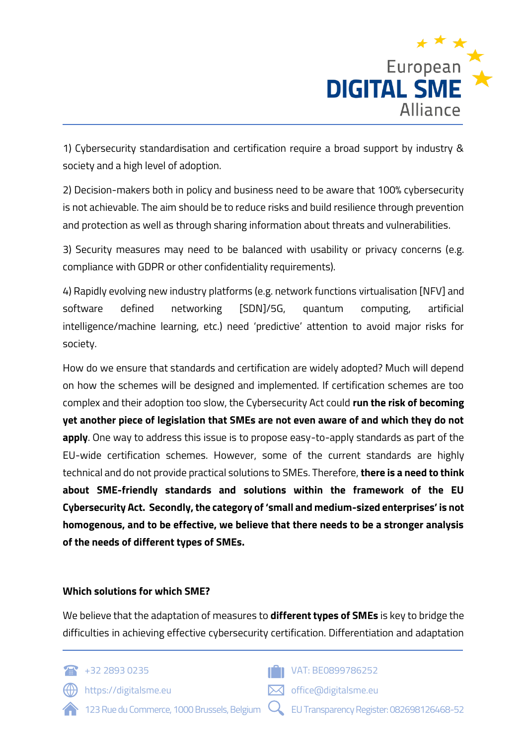

1) Cybersecurity standardisation and certification require a broad support by industry & society and a high level of adoption.

2) Decision-makers both in policy and business need to be aware that 100% cybersecurity is not achievable. The aim should be to reduce risks and build resilience through prevention and protection as well as through sharing information about threats and vulnerabilities.

3) Security measures may need to be balanced with usability or privacy concerns (e.g. compliance with GDPR or other confidentiality requirements).

4) Rapidly evolving new industry platforms (e.g. network functions virtualisation [NFV] and software defined networking [SDN]/5G, quantum computing, artificial intelligence/machine learning, etc.) need 'predictive' attention to avoid major risks for society.

How do we ensure that standards and certification are widely adopted? Much will depend on how the schemes will be designed and implemented. If certification schemes are too complex and their adoption too slow, the Cybersecurity Act could **run the risk of becoming yet another piece of legislation that SMEs are not even aware of and which they do not apply**. One way to address this issue is to propose easy-to-apply standards as part of the EU-wide certification schemes. However, some of the current standards are highly technical and do not provide practical solutions to SMEs. Therefore, **there is a need to think about SME-friendly standards and solutions within the framework of the EU Cybersecurity Act. Secondly, the category of 'small and medium-sized enterprises' is not homogenous, and to be effective, we believe that there needs to be a stronger analysis of the needs of different types of SMEs.**

#### **Which solutions for which SME?**

We believe that the adaptation of measures to **different types of SMEs** is key to bridge the difficulties in achieving effective cybersecurity certification. Differentiation and adaptation



 $\langle \langle \rangle \rangle$  https://digitalsme.eu

**T** VAT: BE0899786252

- 123 Rue du Commerce, 1000 Brussels, Belgium EU Transparency Register: 082698126468-52
	-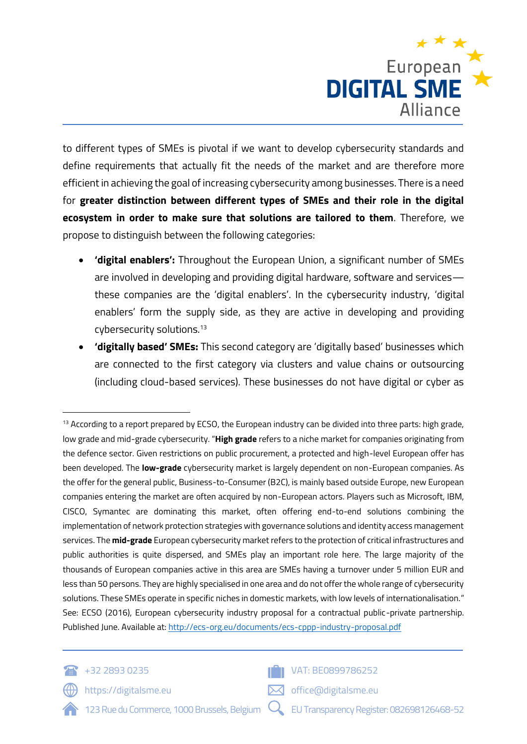

to different types of SMEs is pivotal if we want to develop cybersecurity standards and define requirements that actually fit the needs of the market and are therefore more efficient in achieving the goal of increasing cybersecurity among businesses. There is a need for **greater distinction between different types of SMEs and their role in the digital ecosystem in order to make sure that solutions are tailored to them**. Therefore, we propose to distinguish between the following categories:

- **'digital enablers':** Throughout the European Union, a significant number of SMEs are involved in developing and providing digital hardware, software and services these companies are the 'digital enablers'. In the cybersecurity industry, 'digital enablers' form the supply side, as they are active in developing and providing cybersecurity solutions.<sup>13</sup>
- **'digitally based' SMEs:** This second category are 'digitally based' businesses which are connected to the first category via clusters and value chains or outsourcing (including cloud-based services). These businesses do not have digital or cyber as

<sup>&</sup>lt;sup>13</sup> According to a report prepared by ECSO, the European industry can be divided into three parts: high grade, low grade and mid-grade cybersecurity. "**High grade** refers to a niche market for companies originating from the defence sector. Given restrictions on public procurement, a protected and high-level European offer has been developed. The **low-grade** cybersecurity market is largely dependent on non-European companies. As the offer for the general public, Business-to-Consumer (B2C), is mainly based outside Europe, new European companies entering the market are often acquired by non-European actors. Players such as Microsoft, IBM, CISCO, Symantec are dominating this market, often offering end-to-end solutions combining the implementation of network protection strategies with governance solutions and identity access management services. The **mid-grade** European cybersecurity market refers to the protection of critical infrastructures and public authorities is quite dispersed, and SMEs play an important role here. The large majority of the thousands of European companies active in this area are SMEs having a turnover under 5 million EUR and less than 50 persons. They are highly specialised in one area and do not offer the whole range of cybersecurity solutions. These SMEs operate in specific niches in domestic markets, with low levels of internationalisation." See: ECSO (2016), European cybersecurity industry proposal for a contractual public-private partnership. Published June. Available at[: http://ecs-org.eu/documents/ecs-cppp-industry-proposal.pdf](http://ecs-org.eu/documents/ecs-cppp-industry-proposal.pdf)



https://digitalsme.eu



office@digitalsme.eu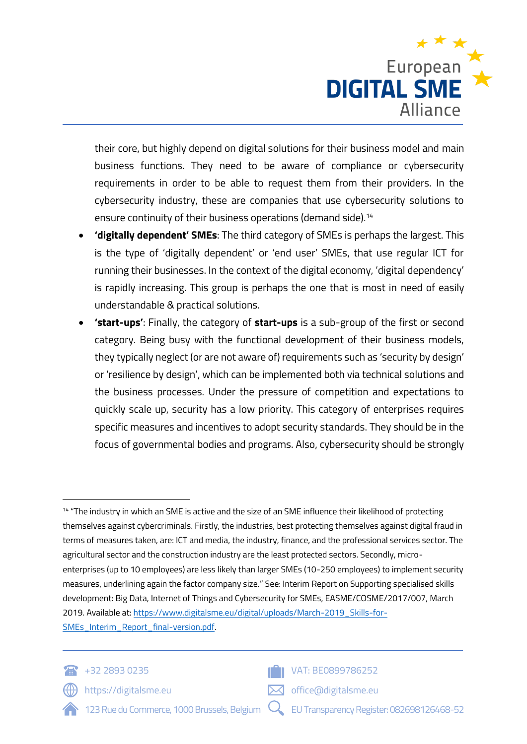

their core, but highly depend on digital solutions for their business model and main business functions. They need to be aware of compliance or cybersecurity requirements in order to be able to request them from their providers. In the cybersecurity industry, these are companies that use cybersecurity solutions to ensure continuity of their business operations (demand side).<sup>14</sup>

- **'digitally dependent' SMEs**: The third category of SMEs is perhaps the largest. This is the type of 'digitally dependent' or 'end user' SMEs, that use regular ICT for running their businesses. In the context of the digital economy, 'digital dependency' is rapidly increasing. This group is perhaps the one that is most in need of easily understandable & practical solutions.
- **'start-ups'**: Finally, the category of **start-ups** is a sub-group of the first or second category. Being busy with the functional development of their business models, they typically neglect (or are not aware of) requirements such as 'security by design' or 'resilience by design', which can be implemented both via technical solutions and the business processes. Under the pressure of competition and expectations to quickly scale up, security has a low priority. This category of enterprises requires specific measures and incentives to adopt security standards. They should be in the focus of governmental bodies and programs. Also, cybersecurity should be strongly

<sup>14</sup> "The industry in which an SME is active and the size of an SME influence their likelihood of protecting themselves against cybercriminals. Firstly, the industries, best protecting themselves against digital fraud in terms of measures taken, are: ICT and media, the industry, finance, and the professional services sector. The agricultural sector and the construction industry are the least protected sectors. Secondly, microenterprises (up to 10 employees) are less likely than larger SMEs (10-250 employees) to implement security measures, underlining again the factor company size." See: Interim Report on Supporting specialised skills development: Big Data, Internet of Things and Cybersecurity for SMEs, EASME/COSME/2017/007, March 2019. Available at[: https://www.digitalsme.eu/digital/uploads/March-2019\\_Skills-for-](https://www.digitalsme.eu/digital/uploads/March-2019_Skills-for-SMEs_Interim_Report_final-version.pdf)SMEs Interim\_Report\_final-version.pdf.



 $+32\,2893\,0235$ 





**T** VAT: BE0899786252

- 123 Rue du Commerce, 1000 Brussels, Belgium
- EU Transparency Register: 082698126468-52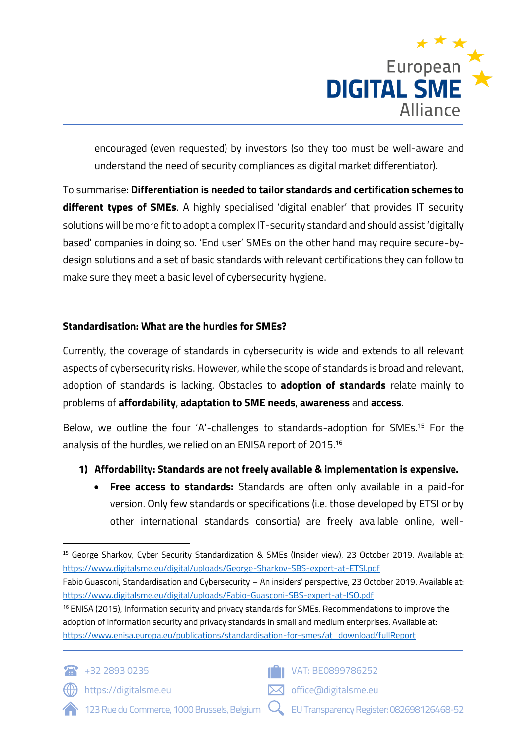

encouraged (even requested) by investors (so they too must be well-aware and understand the need of security compliances as digital market differentiator).

To summarise: **Differentiation is needed to tailor standards and certification schemes to different types of SMEs**. A highly specialised 'digital enabler' that provides IT security solutions will be more fit to adopt a complex IT-security standard and should assist 'digitally based' companies in doing so. 'End user' SMEs on the other hand may require secure-bydesign solutions and a set of basic standards with relevant certifications they can follow to make sure they meet a basic level of cybersecurity hygiene.

## **Standardisation: What are the hurdles for SMEs?**

Currently, the coverage of standards in cybersecurity is wide and extends to all relevant aspects of cybersecurity risks. However, while the scope of standards is broad and relevant, adoption of standards is lacking. Obstacles to **adoption of standards** relate mainly to problems of **affordability**, **adaptation to SME needs**, **awareness** and **access**.

Below, we outline the four 'A'-challenges to standards-adoption for SMEs. <sup>15</sup> For the analysis of the hurdles, we relied on an ENISA report of 2015. 16

## **1) Affordability: Standards are not freely available & implementation is expensive.**

• **Free access to standards:** Standards are often only available in a paid-for version. Only few standards or specifications (i.e. those developed by ETSI or by other international standards consortia) are freely available online, well-

<sup>&</sup>lt;sup>16</sup> ENISA (2015), Information security and privacy standards for SMEs. Recommendations to improve the adoption of information security and privacy standards in small and medium enterprises. Available at: [https://www.enisa.europa.eu/publications/standardisation-for-smes/at\\_download/fullReport](https://www.enisa.europa.eu/publications/standardisation-for-smes/at_download/fullReport)





office@digitalsme.eu

https://digitalsme.eu



<sup>15</sup> George Sharkov, Cyber Security Standardization & SMEs (Insider view), 23 October 2019. Available at: <https://www.digitalsme.eu/digital/uploads/George-Sharkov-SBS-expert-at-ETSI.pdf>

Fabio Guasconi, Standardisation and Cybersecurity – An insiders' perspective, 23 October 2019. Available at: <https://www.digitalsme.eu/digital/uploads/Fabio-Guasconi-SBS-expert-at-ISO.pdf>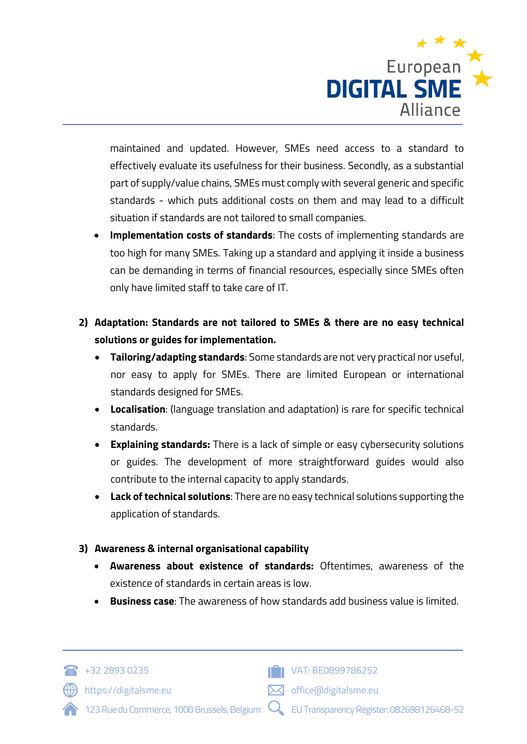

maintained and updated. However, SMEs need access to a standard to effectively evaluate its usefulness for their business. Secondly, as a substantial part of supply/value chains, SMEs must comply with several generic and specific standards - which puts additional costs on them and may lead to a difficult situation if standards are not tailored to small companies.

- **Implementation costs of standards**: The costs of implementing standards are too high for many SMEs. Taking up a standard and applying it inside a business can be demanding in terms of financial resources, especially since SMEs often only have limited staff to take care of IT.
- **2) Adaptation: Standards are not tailored to SMEs & there are no easy technical solutions or guides for implementation.**
	- **Tailoring/adapting standards**: Some standards are not very practical nor useful, nor easy to apply for SMEs. There are limited European or international standards designed for SMEs.
	- **Localisation**: (language translation and adaptation) is rare for specific technical standards.
	- **Explaining standards:** There is a lack of simple or easy cybersecurity solutions or guides. The development of more straightforward guides would also contribute to the internal capacity to apply standards.
	- **Lack of technical solutions**: There are no easy technical solutions supporting the application of standards.

## **3) Awareness & internal organisational capability**

- **Awareness about existence of standards:** Oftentimes, awareness of the existence of standards in certain areas is low.
- **Business case**: The awareness of how standards add business value is limited.



https://digitalsme.eu



- 123 Rue du Commerce, 1000 Brussels, Belgium EU Transparency Register: 082698126468-52
	-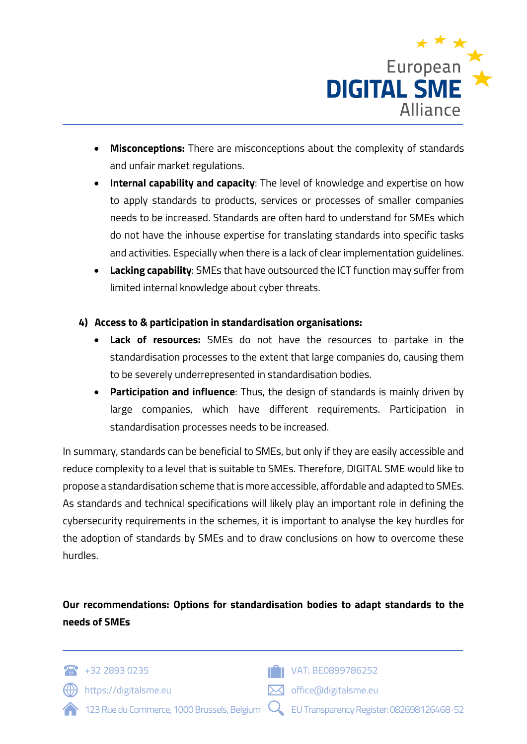

- **Misconceptions:** There are misconceptions about the complexity of standards and unfair market regulations.
- **Internal capability and capacity**: The level of knowledge and expertise on how to apply standards to products, services or processes of smaller companies needs to be increased. Standards are often hard to understand for SMEs which do not have the inhouse expertise for translating standards into specific tasks and activities. Especially when there is a lack of clear implementation guidelines.
- **Lacking capability**: SMEs that have outsourced the ICT function may suffer from limited internal knowledge about cyber threats.

## **4) Access to & participation in standardisation organisations:**

- **Lack of resources:** SMEs do not have the resources to partake in the standardisation processes to the extent that large companies do, causing them to be severely underrepresented in standardisation bodies.
- **Participation and influence**: Thus, the design of standards is mainly driven by large companies, which have different requirements. Participation in standardisation processes needs to be increased.

In summary, standards can be beneficial to SMEs, but only if they are easily accessible and reduce complexity to a level that is suitable to SMEs. Therefore, DIGITAL SME would like to propose a standardisation scheme that is more accessible, affordable and adapted to SMEs. As standards and technical specifications will likely play an important role in defining the cybersecurity requirements in the schemes, it is important to analyse the key hurdles for the adoption of standards by SMEs and to draw conclusions on how to overcome these hurdles.

# **Our recommendations: Options for standardisation bodies to adapt standards to the needs of SMEs**

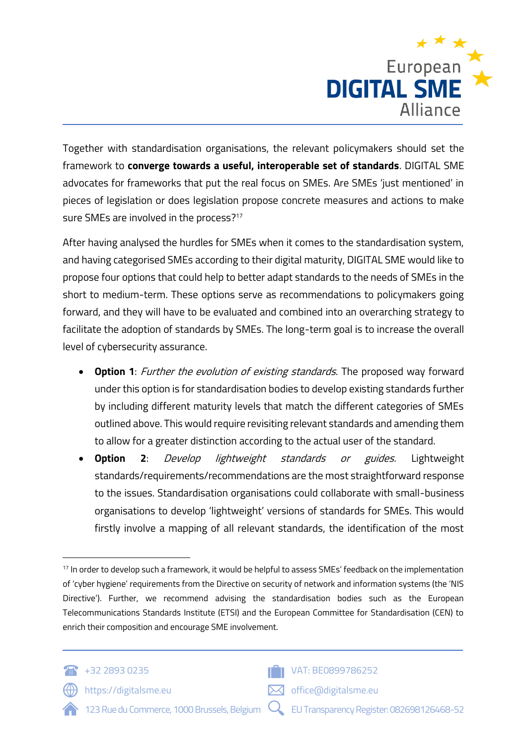

Together with standardisation organisations, the relevant policymakers should set the framework to **converge towards a useful, interoperable set of standards**. DIGITAL SME advocates for frameworks that put the real focus on SMEs. Are SMEs 'just mentioned' in pieces of legislation or does legislation propose concrete measures and actions to make sure SMEs are involved in the process? 17

After having analysed the hurdles for SMEs when it comes to the standardisation system, and having categorised SMEs according to their digital maturity, DIGITAL SME would like to propose four options that could help to better adapt standards to the needs of SMEs in the short to medium-term. These options serve as recommendations to policymakers going forward, and they will have to be evaluated and combined into an overarching strategy to facilitate the adoption of standards by SMEs. The long-term goal is to increase the overall level of cybersecurity assurance.

- **Option 1**: Further the evolution of existing standards. The proposed way forward under this option is for standardisation bodies to develop existing standards further by including different maturity levels that match the different categories of SMEs outlined above. This would require revisiting relevant standards and amending them to allow for a greater distinction according to the actual user of the standard.
- **Option 2**: Develop lightweight standards or guides. Lightweight standards/requirements/recommendations are the most straightforward response to the issues. Standardisation organisations could collaborate with small-business organisations to develop 'lightweight' versions of standards for SMEs. This would firstly involve a mapping of all relevant standards, the identification of the most

<sup>&</sup>lt;sup>17</sup> In order to develop such a framework, it would be helpful to assess SMEs' feedback on the implementation of 'cyber hygiene' requirements from the Directive on security of network and information systems (the 'NIS Directive'). Further, we recommend advising the standardisation bodies such as the European Telecommunications Standards Institute (ETSI) and the European Committee for Standardisation (CEN) to enrich their composition and encourage SME involvement.



https://digitalsme.eu

- 123 Rue du Commerce, 1000 Brussels, Belgium
- **TH** VAT: BE0899786252

 $\boxtimes$  office@digitalsme.eu

EU Transparency Register: 082698126468-52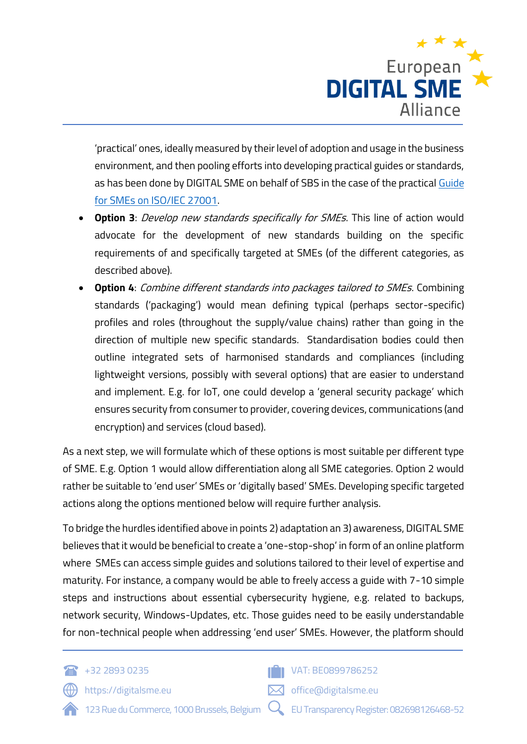

'practical' ones, ideally measured by their level of adoption and usage in the business environment, and then pooling efforts into developing practical guides or standards, as has been done by DIGITAL SME on behalf of SBS in the case of the practica[l Guide](file:///C:/Users/dcass/Nextcloud/WORKING%20GROUPS/Consultations/EU%20Cybersecurity%20Act/digitalsme.eu/policy/etc)  [for SMEs on ISO/IEC 27001.](file:///C:/Users/dcass/Nextcloud/WORKING%20GROUPS/Consultations/EU%20Cybersecurity%20Act/digitalsme.eu/policy/etc)

- **Option 3**: Develop new standards specifically for SMEs. This line of action would advocate for the development of new standards building on the specific requirements of and specifically targeted at SMEs (of the different categories, as described above).
- **Option 4:** Combine different standards into packages tailored to SMEs. Combining standards ('packaging') would mean defining typical (perhaps sector-specific) profiles and roles (throughout the supply/value chains) rather than going in the direction of multiple new specific standards. Standardisation bodies could then outline integrated sets of harmonised standards and compliances (including lightweight versions, possibly with several options) that are easier to understand and implement. E.g. for IoT, one could develop a 'general security package' which ensures security from consumer to provider, covering devices, communications (and encryption) and services (cloud based).

As a next step, we will formulate which of these options is most suitable per different type of SME. E.g. Option 1 would allow differentiation along all SME categories. Option 2 would rather be suitable to 'end user' SMEs or 'digitally based' SMEs. Developing specific targeted actions along the options mentioned below will require further analysis.

To bridge the hurdles identified above in points 2) adaptation an 3) awareness, DIGITAL SME believes that it would be beneficial to create a 'one-stop-shop' in form of an online platform where SMEs can access simple guides and solutions tailored to their level of expertise and maturity. For instance, a company would be able to freely access a guide with 7-10 simple steps and instructions about essential cybersecurity hygiene, e.g. related to backups, network security, Windows-Updates, etc. Those guides need to be easily understandable for non-technical people when addressing 'end user' SMEs. However, the platform should

 $+32\,2893\,0235$ 

https://digitalsme.eu



- 123 Rue du Commerce, 1000 Brussels, Belgium EU Transparency Register: 082698126468-52
	-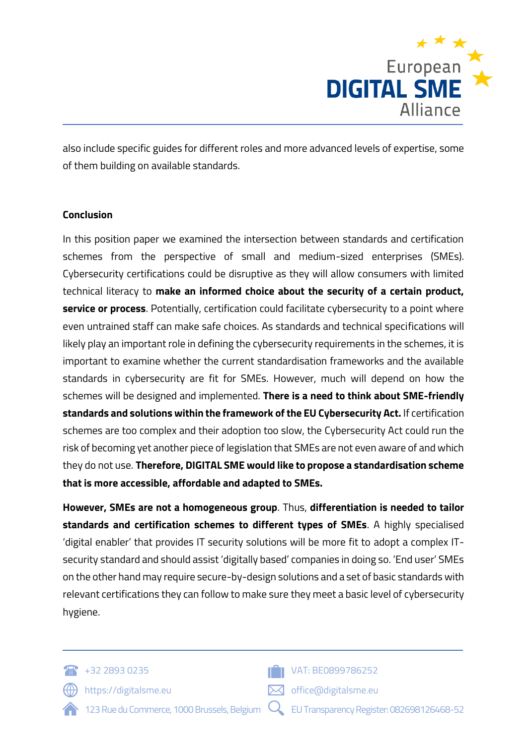

also include specific guides for different roles and more advanced levels of expertise, some of them building on available standards.

## **Conclusion**

In this position paper we examined the intersection between standards and certification schemes from the perspective of small and medium-sized enterprises (SMEs). Cybersecurity certifications could be disruptive as they will allow consumers with limited technical literacy to **make an informed choice about the security of a certain product, service or process**. Potentially, certification could facilitate cybersecurity to a point where even untrained staff can make safe choices. As standards and technical specifications will likely play an important role in defining the cybersecurity requirements in the schemes, it is important to examine whether the current standardisation frameworks and the available standards in cybersecurity are fit for SMEs. However, much will depend on how the schemes will be designed and implemented. **There is a need to think about SME-friendly standards and solutions within the framework of the EU Cybersecurity Act.** If certification schemes are too complex and their adoption too slow, the Cybersecurity Act could run the risk of becoming yet another piece of legislation that SMEs are not even aware of and which they do not use. **Therefore, DIGITAL SME would like to propose a standardisation scheme that is more accessible, affordable and adapted to SMEs.** 

**However, SMEs are not a homogeneous group**. Thus, **differentiation is needed to tailor standards and certification schemes to different types of SMEs**. A highly specialised 'digital enabler' that provides IT security solutions will be more fit to adopt a complex ITsecurity standard and should assist 'digitally based' companies in doing so. 'End user' SMEs on the other hand may require secure-by-design solutions and a set of basic standards with relevant certifications they can follow to make sure they meet a basic level of cybersecurity hygiene.

- $+32\,2893\,0235$ 
	- https://digitalsme.eu



- $\boxtimes$  office@digitalsme.eu
- 123 Rue du Commerce, 1000 Brussels, Belgium
- EU Transparency Register: 082698126468-52